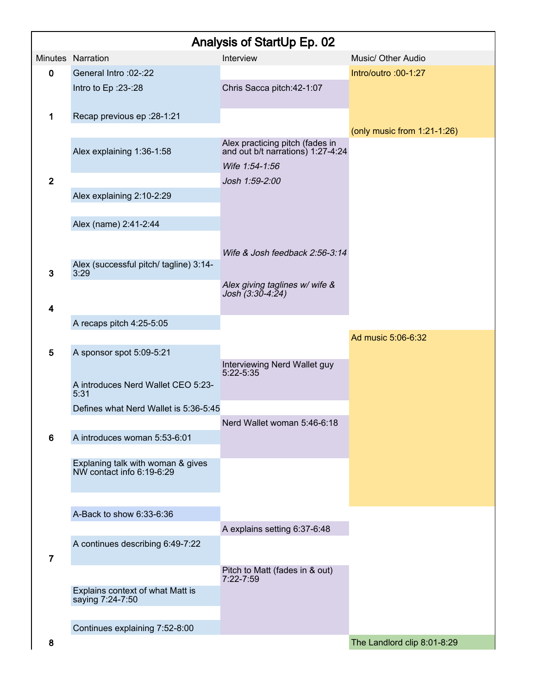| Analysis of StartUp Ep. 02 |                                                                |                                                                      |                                |  |  |  |
|----------------------------|----------------------------------------------------------------|----------------------------------------------------------------------|--------------------------------|--|--|--|
|                            | Minutes Narration                                              | Interview                                                            | Music/ Other Audio             |  |  |  |
| 0                          | General Intro: 02-: 22                                         |                                                                      | Intro/outro :00-1:27           |  |  |  |
|                            | Intro to Ep : 23-: 28                                          | Chris Sacca pitch: 42-1:07                                           |                                |  |  |  |
| 1                          | Recap previous ep : 28-1:21                                    |                                                                      |                                |  |  |  |
|                            |                                                                |                                                                      | (only music from $1:21-1:26$ ) |  |  |  |
|                            | Alex explaining 1:36-1:58                                      | Alex practicing pitch (fades in<br>and out b/t narrations) 1:27-4:24 |                                |  |  |  |
|                            |                                                                | Wife 1:54-1:56                                                       |                                |  |  |  |
| $\mathbf{2}$               |                                                                | Josh 1:59-2:00                                                       |                                |  |  |  |
|                            | Alex explaining 2:10-2:29                                      |                                                                      |                                |  |  |  |
|                            | Alex (name) 2:41-2:44                                          |                                                                      |                                |  |  |  |
|                            |                                                                |                                                                      |                                |  |  |  |
|                            |                                                                | Wife & Josh feedback 2:56-3:14                                       |                                |  |  |  |
| 3                          | Alex (successful pitch/ tagline) 3:14-<br>3:29                 |                                                                      |                                |  |  |  |
|                            |                                                                | Alex giving taglines w/ wife &<br>Josh (3:30-4:24)                   |                                |  |  |  |
| 4                          |                                                                |                                                                      |                                |  |  |  |
|                            | A recaps pitch 4:25-5:05                                       |                                                                      |                                |  |  |  |
|                            |                                                                |                                                                      | Ad music 5:06-6:32             |  |  |  |
| 5                          | A sponsor spot 5:09-5:21                                       |                                                                      |                                |  |  |  |
|                            |                                                                | Interviewing Nerd Wallet guy<br>5:22-5:35                            |                                |  |  |  |
|                            | A introduces Nerd Wallet CEO 5:23-<br>5:31                     |                                                                      |                                |  |  |  |
|                            | Defines what Nerd Wallet is 5:36-5:45                          |                                                                      |                                |  |  |  |
|                            |                                                                | Nerd Wallet woman 5:46-6:18                                          |                                |  |  |  |
| 6                          | A introduces woman 5:53-6:01                                   |                                                                      |                                |  |  |  |
|                            | Explaning talk with woman & gives<br>NW contact info 6:19-6:29 |                                                                      |                                |  |  |  |
|                            |                                                                |                                                                      |                                |  |  |  |
|                            |                                                                |                                                                      |                                |  |  |  |
|                            | A-Back to show 6:33-6:36                                       |                                                                      |                                |  |  |  |
|                            |                                                                | A explains setting 6:37-6:48                                         |                                |  |  |  |
|                            | A continues describing 6:49-7:22                               |                                                                      |                                |  |  |  |
| $\overline{7}$             |                                                                | Pitch to Matt (fades in & out)                                       |                                |  |  |  |
|                            |                                                                | 7:22-7:59                                                            |                                |  |  |  |
|                            | Explains context of what Matt is<br>saying 7:24-7:50           |                                                                      |                                |  |  |  |
|                            |                                                                |                                                                      |                                |  |  |  |
|                            | Continues explaining 7:52-8:00                                 |                                                                      |                                |  |  |  |
| 8                          |                                                                |                                                                      | The Landlord clip 8:01-8:29    |  |  |  |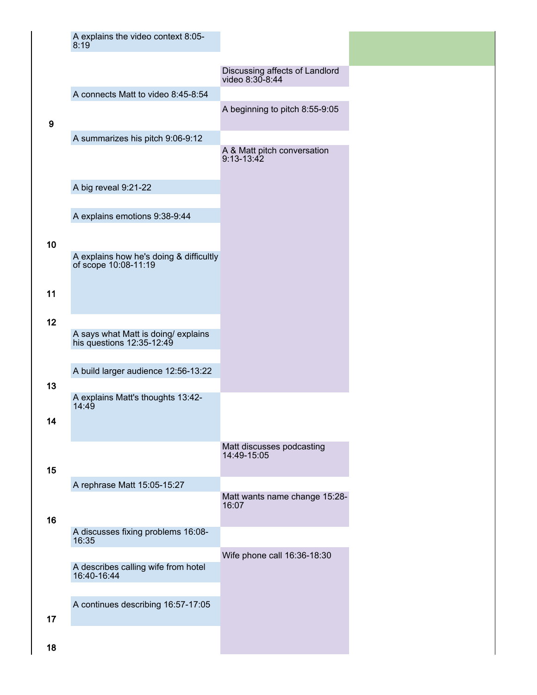|                 | A explains the video context 8:05-<br>8:19                       |                                                   |
|-----------------|------------------------------------------------------------------|---------------------------------------------------|
|                 |                                                                  | Discussing affects of Landlord<br>video 8:30-8:44 |
|                 | A connects Matt to video 8:45-8:54                               |                                                   |
| 9               |                                                                  | A beginning to pitch 8:55-9:05                    |
|                 | A summarizes his pitch 9:06-9:12                                 |                                                   |
|                 |                                                                  | A & Matt pitch conversation<br>$9:13 - 13:42$     |
|                 | A big reveal 9:21-22                                             |                                                   |
|                 |                                                                  |                                                   |
| 10 <sub>1</sub> | A explains emotions 9:38-9:44                                    |                                                   |
|                 | A explains how he's doing & difficultly<br>of scope 10:08-11:19  |                                                   |
| 11              |                                                                  |                                                   |
| 12              |                                                                  |                                                   |
|                 | A says what Matt is doing/ explains<br>his questions 12:35-12:49 |                                                   |
|                 | A build larger audience 12:56-13:22                              |                                                   |
| 13              |                                                                  |                                                   |
|                 | A explains Matt's thoughts 13:42-<br>14:49                       |                                                   |
| 14              |                                                                  |                                                   |
| 15              |                                                                  | Matt discusses podcasting<br>14:49-15:05          |
|                 | A rephrase Matt 15:05-15:27                                      |                                                   |
| 16              |                                                                  | Matt wants name change 15:28-<br>16:07            |
|                 | A discusses fixing problems 16:08-<br>16:35                      |                                                   |
|                 | A describes calling wife from hotel<br>16:40-16:44               | Wife phone call 16:36-18:30                       |
| 17              | A continues describing 16:57-17:05                               |                                                   |
| 18              |                                                                  |                                                   |